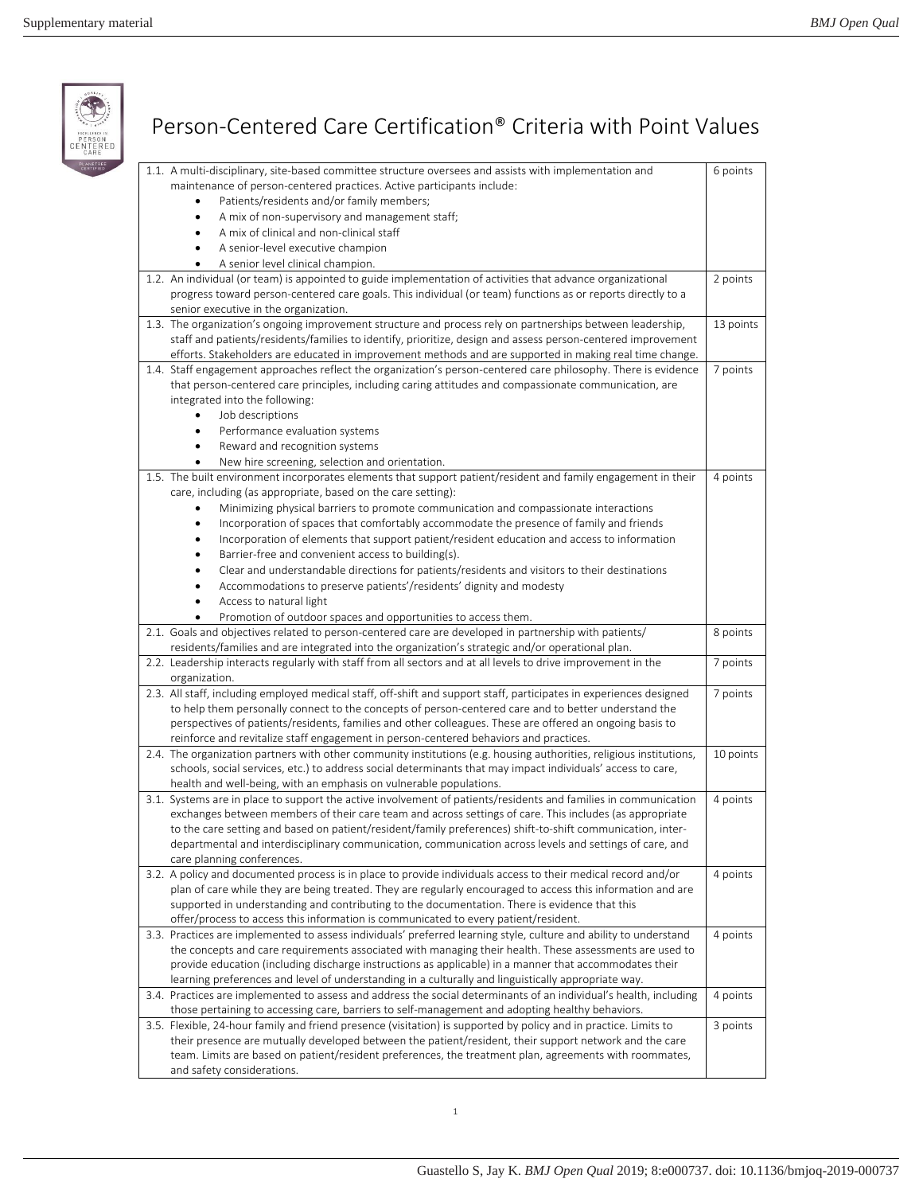$\begin{array}{c}\n\circ \\
\circ \\
\circ \\
\circ\n\end{array}$ 

| CARE | Person-Centered Care Certification <sup>®</sup> Criteria with Point Values                                                                                                                                                                                                                                                                                                                                                                                                                                                                                                                                                                                                                                                                                                                             |           |
|------|--------------------------------------------------------------------------------------------------------------------------------------------------------------------------------------------------------------------------------------------------------------------------------------------------------------------------------------------------------------------------------------------------------------------------------------------------------------------------------------------------------------------------------------------------------------------------------------------------------------------------------------------------------------------------------------------------------------------------------------------------------------------------------------------------------|-----------|
|      | 1.1. A multi-disciplinary, site-based committee structure oversees and assists with implementation and<br>maintenance of person-centered practices. Active participants include:<br>Patients/residents and/or family members;<br>A mix of non-supervisory and management staff;<br>$\bullet$<br>A mix of clinical and non-clinical staff<br>A senior-level executive champion<br>A senior level clinical champion.                                                                                                                                                                                                                                                                                                                                                                                     | 6 points  |
|      | 1.2. An individual (or team) is appointed to guide implementation of activities that advance organizational<br>progress toward person-centered care goals. This individual (or team) functions as or reports directly to a<br>senior executive in the organization.                                                                                                                                                                                                                                                                                                                                                                                                                                                                                                                                    | 2 points  |
|      | 1.3. The organization's ongoing improvement structure and process rely on partnerships between leadership,<br>staff and patients/residents/families to identify, prioritize, design and assess person-centered improvement<br>efforts. Stakeholders are educated in improvement methods and are supported in making real time change.                                                                                                                                                                                                                                                                                                                                                                                                                                                                  | 13 points |
|      | 1.4. Staff engagement approaches reflect the organization's person-centered care philosophy. There is evidence<br>that person-centered care principles, including caring attitudes and compassionate communication, are<br>integrated into the following:<br>Job descriptions<br>$\bullet$<br>Performance evaluation systems<br>Reward and recognition systems<br>New hire screening, selection and orientation.                                                                                                                                                                                                                                                                                                                                                                                       | 7 points  |
|      | 1.5. The built environment incorporates elements that support patient/resident and family engagement in their<br>care, including (as appropriate, based on the care setting):<br>Minimizing physical barriers to promote communication and compassionate interactions<br>Incorporation of spaces that comfortably accommodate the presence of family and friends<br>$\bullet$<br>Incorporation of elements that support patient/resident education and access to information<br>Barrier-free and convenient access to building(s).<br>Clear and understandable directions for patients/residents and visitors to their destinations<br>Accommodations to preserve patients'/residents' dignity and modesty<br>Access to natural light<br>Promotion of outdoor spaces and opportunities to access them. | 4 points  |
|      | 2.1. Goals and objectives related to person-centered care are developed in partnership with patients/<br>residents/families and are integrated into the organization's strategic and/or operational plan.                                                                                                                                                                                                                                                                                                                                                                                                                                                                                                                                                                                              | 8 points  |
|      | 2.2. Leadership interacts regularly with staff from all sectors and at all levels to drive improvement in the<br>organization.                                                                                                                                                                                                                                                                                                                                                                                                                                                                                                                                                                                                                                                                         | 7 points  |
|      | 2.3. All staff, including employed medical staff, off-shift and support staff, participates in experiences designed<br>to help them personally connect to the concepts of person-centered care and to better understand the<br>perspectives of patients/residents, families and other colleagues. These are offered an ongoing basis to<br>reinforce and revitalize staff engagement in person-centered behaviors and practices.                                                                                                                                                                                                                                                                                                                                                                       | 7 points  |
|      | 2.4. The organization partners with other community institutions (e.g. housing authorities, religious institutions,<br>schools, social services, etc.) to address social determinants that may impact individuals' access to care,<br>health and well-being, with an emphasis on vulnerable populations.                                                                                                                                                                                                                                                                                                                                                                                                                                                                                               | 10 points |
|      | 3.1. Systems are in place to support the active involvement of patients/residents and families in communication<br>exchanges between members of their care team and across settings of care. This includes (as appropriate<br>to the care setting and based on patient/resident/family preferences) shift-to-shift communication, inter-<br>departmental and interdisciplinary communication, communication across levels and settings of care, and<br>care planning conferences.                                                                                                                                                                                                                                                                                                                      | 4 points  |
|      | 3.2. A policy and documented process is in place to provide individuals access to their medical record and/or<br>plan of care while they are being treated. They are regularly encouraged to access this information and are<br>supported in understanding and contributing to the documentation. There is evidence that this<br>offer/process to access this information is communicated to every patient/resident.                                                                                                                                                                                                                                                                                                                                                                                   | 4 points  |
|      | 3.3. Practices are implemented to assess individuals' preferred learning style, culture and ability to understand<br>the concepts and care requirements associated with managing their health. These assessments are used to<br>provide education (including discharge instructions as applicable) in a manner that accommodates their<br>learning preferences and level of understanding in a culturally and linguistically appropriate way.                                                                                                                                                                                                                                                                                                                                                          | 4 points  |
|      | 3.4. Practices are implemented to assess and address the social determinants of an individual's health, including<br>those pertaining to accessing care, barriers to self-management and adopting healthy behaviors.                                                                                                                                                                                                                                                                                                                                                                                                                                                                                                                                                                                   | 4 points  |
|      | 3.5. Flexible, 24-hour family and friend presence (visitation) is supported by policy and in practice. Limits to<br>their presence are mutually developed between the patient/resident, their support network and the care<br>team. Limits are based on patient/resident preferences, the treatment plan, agreements with roommates,<br>and safety considerations.                                                                                                                                                                                                                                                                                                                                                                                                                                     | 3 points  |